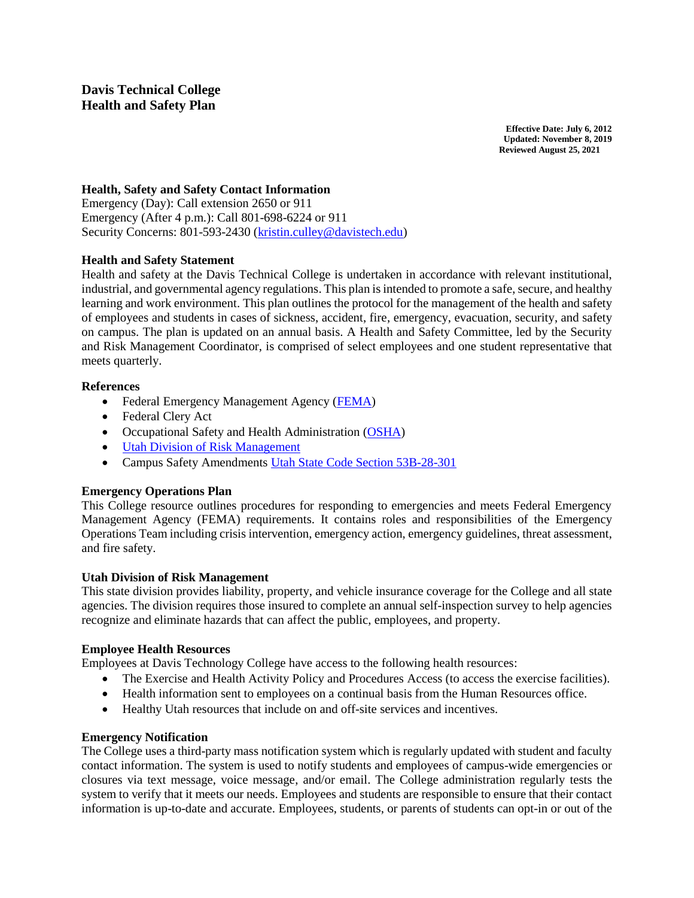**Effective Date: July 6, 2012 Updated: November 8, 2019 Reviewed August 25, 2021**

### **Health, Safety and Safety Contact Information**

Emergency (Day): Call extension 2650 or 911 Emergency (After 4 p.m.): Call 801-698-6224 or 911 Security Concerns: 801-593-2430 [\(kristin.culley@davistech.edu\)](mailto:kristin.culley@davistech.edu)

### **Health and Safety Statement**

Health and safety at the Davis Technical College is undertaken in accordance with relevant institutional, industrial, and governmental agency regulations. This plan is intended to promote a safe, secure, and healthy learning and work environment. This plan outlines the protocol for the management of the health and safety of employees and students in cases of sickness, accident, fire, emergency, evacuation, security, and safety on campus. The plan is updated on an annual basis. A Health and Safety Committee, led by the Security and Risk Management Coordinator, is comprised of select employees and one student representative that meets quarterly.

### **References**

- Federal Emergency Management Agency [\(FEMA\)](https://www.fema.gov/)
- Federal Clery Act
- Occupational Safety and Health Administration [\(OSHA\)](https://www.osha.gov/)
- [Utah Division of Risk Management](https://risk.utah.gov/)
- Campus Safety Amendments [Utah State Code Section 53B-28-301](https://le.utah.gov/xcode/Title53B/Chapter28/53B-28-S301.html?v=C53B-28-S301_2019051420190514)

### **Emergency Operations Plan**

This College resource outlines procedures for responding to emergencies and meets Federal Emergency Management Agency (FEMA) requirements. It contains roles and responsibilities of the Emergency Operations Team including crisis intervention, emergency action, emergency guidelines, threat assessment, and fire safety.

### **Utah Division of Risk Management**

This state division provides liability, property, and vehicle insurance coverage for the College and all state agencies. The division requires those insured to complete an annual self-inspection survey to help agencies recognize and eliminate hazards that can affect the public, employees, and property.

### **Employee Health Resources**

Employees at Davis Technology College have access to the following health resources:

- The Exercise and Health Activity Policy and Procedures Access (to access the exercise facilities).
- Health information sent to employees on a continual basis from the Human Resources office.
- Healthy Utah resources that include on and off-site services and incentives.

### **Emergency Notification**

The College uses a third-party mass notification system which is regularly updated with student and faculty contact information. The system is used to notify students and employees of campus-wide emergencies or closures via text message, voice message, and/or email. The College administration regularly tests the system to verify that it meets our needs. Employees and students are responsible to ensure that their contact information is up-to-date and accurate. Employees, students, or parents of students can opt-in or out of the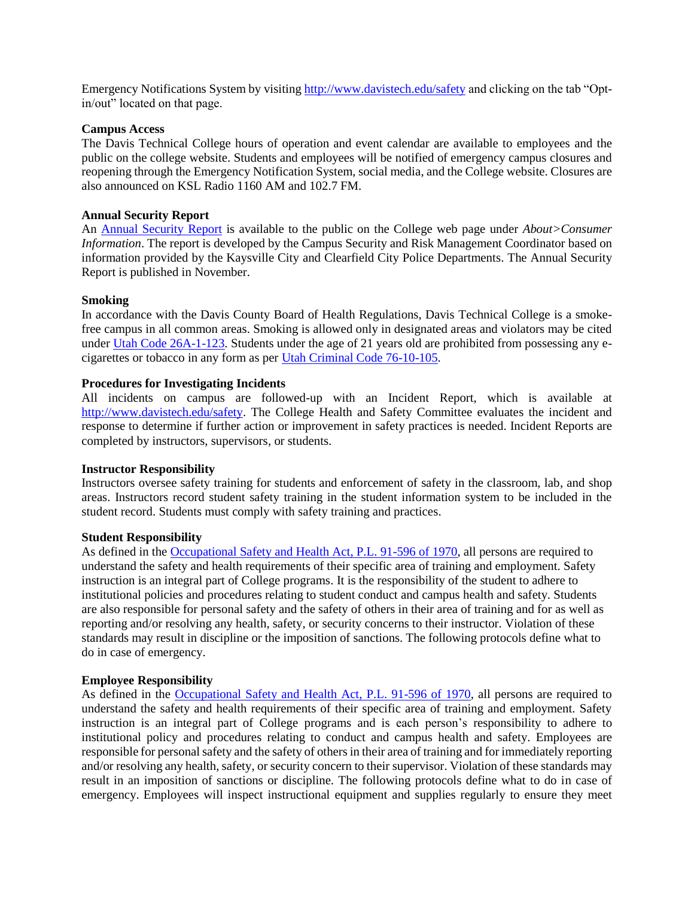Emergency Notifications System by visitin[g http://www.davistech.edu/safety](http://www.davistech.edu/safety) and clicking on the tab "Optin/out" located on that page.

#### **Campus Access**

The Davis Technical College hours of operation and event calendar are available to employees and the public on the college website. Students and employees will be notified of emergency campus closures and reopening through the Emergency Notification System, social media, and the College website. Closures are also announced on KSL Radio 1160 AM and 102.7 FM.

#### **Annual Security Report**

An [Annual Security](https://www.davistech.edu/public/docs/SecurityReport2019.pdf) Report is available to the public on the College web page under *About>Consumer Information*. The report is developed by the Campus Security and Risk Management Coordinator based on information provided by the Kaysville City and Clearfield City Police Departments. The Annual Security Report is published in November.

#### **Smoking**

In accordance with the Davis County Board of Health Regulations, Davis Technical College is a smokefree campus in all common areas. Smoking is allowed only in designated areas and violators may be cited under [Utah Code 26A-1-123.](https://le.utah.gov/xcode/Title26A/Chapter1/26A-1-S123.html?v=C26A-1-S123_1800010118000101) Students under the age of 21 years old are prohibited from possessing any ecigarettes or tobacco in any form as per [Utah Criminal Code 76-10-105.](https://le.utah.gov/xcode/Title76/Chapter10/76-10-S105.html?v=C76-10-S105_2018032220180322)

#### **Procedures for Investigating Incidents**

All incidents on campus are followed-up with an Incident Report, which is available at [http://www.davistech.edu/safety.](http://www.davistech.edu/safety) The College Health and Safety Committee evaluates the incident and response to determine if further action or improvement in safety practices is needed. Incident Reports are completed by instructors, supervisors, or students.

#### **Instructor Responsibility**

Instructors oversee safety training for students and enforcement of safety in the classroom, lab, and shop areas. Instructors record student safety training in the student information system to be included in the student record. Students must comply with safety training and practices.

#### **Student Responsibility**

As defined in the [Occupational Safety and Health Act, P.L. 91-596 of 1970,](https://www.osha.gov/pls/oshaweb/owadisp.show_document?p_id=2743&p_table=OSHACT) all persons are required to understand the safety and health requirements of their specific area of training and employment. Safety instruction is an integral part of College programs. It is the responsibility of the student to adhere to institutional policies and procedures relating to student conduct and campus health and safety. Students are also responsible for personal safety and the safety of others in their area of training and for as well as reporting and/or resolving any health, safety, or security concerns to their instructor. Violation of these standards may result in discipline or the imposition of sanctions. The following protocols define what to do in case of emergency.

#### **Employee Responsibility**

As defined in the [Occupational Safety and Health Act, P.L. 91-596 of 1970,](https://www.osha.gov/pls/oshaweb/owadisp.show_document?p_id=2743&p_table=OSHACT) all persons are required to understand the safety and health requirements of their specific area of training and employment. Safety instruction is an integral part of College programs and is each person's responsibility to adhere to institutional policy and procedures relating to conduct and campus health and safety. Employees are responsible for personal safety and the safety of others in their area of training and for immediately reporting and/or resolving any health, safety, or security concern to their supervisor. Violation of these standards may result in an imposition of sanctions or discipline. The following protocols define what to do in case of emergency. Employees will inspect instructional equipment and supplies regularly to ensure they meet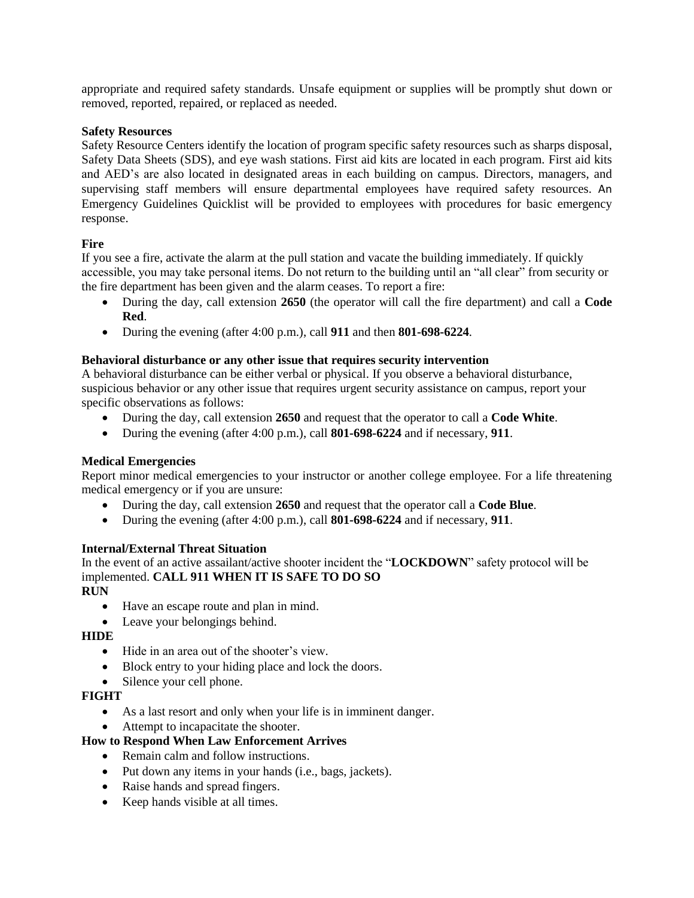appropriate and required safety standards. Unsafe equipment or supplies will be promptly shut down or removed, reported, repaired, or replaced as needed.

### **Safety Resources**

Safety Resource Centers identify the location of program specific safety resources such as sharps disposal, Safety Data Sheets (SDS), and eye wash stations. First aid kits are located in each program. First aid kits and AED's are also located in designated areas in each building on campus. Directors, managers, and supervising staff members will ensure departmental employees have required safety resources. An Emergency Guidelines Quicklist will be provided to employees with procedures for basic emergency response.

# **Fire**

If you see a fire, activate the alarm at the pull station and vacate the building immediately. If quickly accessible, you may take personal items. Do not return to the building until an "all clear" from security or the fire department has been given and the alarm ceases. To report a fire:

- During the day, call extension **2650** (the operator will call the fire department) and call a **Code Red**.
- During the evening (after 4:00 p.m.), call **911** and then **801-698-6224**.

### **Behavioral disturbance or any other issue that requires security intervention**

A behavioral disturbance can be either verbal or physical. If you observe a behavioral disturbance, suspicious behavior or any other issue that requires urgent security assistance on campus, report your specific observations as follows:

- During the day, call extension **2650** and request that the operator to call a **Code White**.
- During the evening (after 4:00 p.m.), call **801-698-6224** and if necessary, **911**.

# **Medical Emergencies**

Report minor medical emergencies to your instructor or another college employee. For a life threatening medical emergency or if you are unsure:

- During the day, call extension **2650** and request that the operator call a **Code Blue**.
- During the evening (after 4:00 p.m.), call **801-698-6224** and if necessary, **911**.

# **Internal/External Threat Situation**

In the event of an active assailant/active shooter incident the "**LOCKDOWN**" safety protocol will be implemented. **CALL 911 WHEN IT IS SAFE TO DO SO**

# **RUN**

- Have an escape route and plan in mind.
- Leave your belongings behind.

# **HIDE**

- Hide in an area out of the shooter's view.
- Block entry to your hiding place and lock the doors.
- Silence your cell phone.

### **FIGHT**

- As a last resort and only when your life is in imminent danger.
- Attempt to incapacitate the shooter.

# **How to Respond When Law Enforcement Arrives**

- Remain calm and follow instructions.
- Put down any items in your hands (i.e., bags, jackets).
- Raise hands and spread fingers.
- Keep hands visible at all times.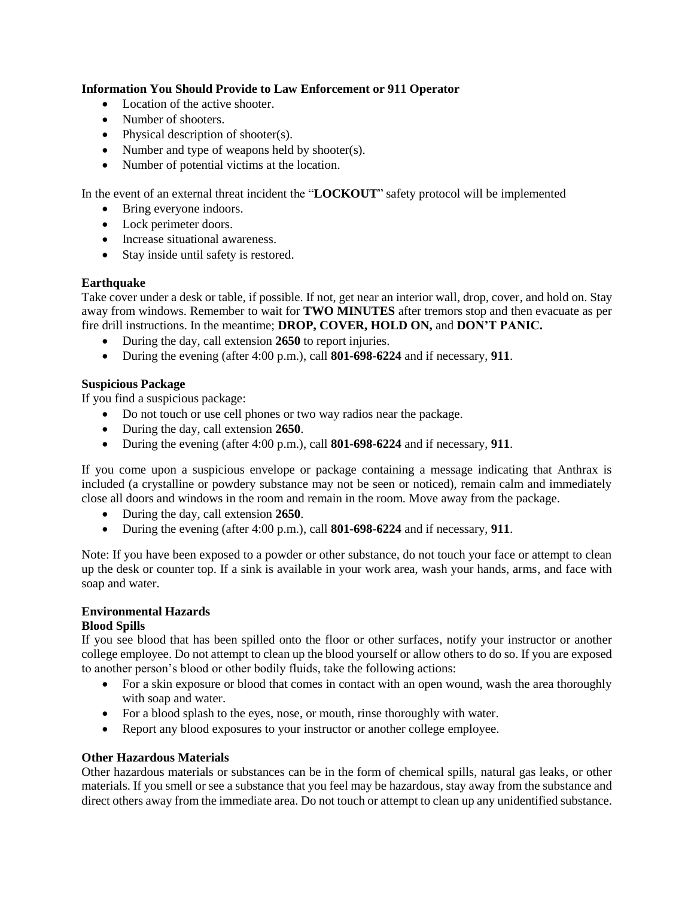### **Information You Should Provide to Law Enforcement or 911 Operator**

- Location of the active shooter.
- Number of shooters.
- Physical description of shooter(s).
- Number and type of weapons held by shooter(s).
- Number of potential victims at the location.

In the event of an external threat incident the "**LOCKOUT**" safety protocol will be implemented

- Bring everyone indoors.
- Lock perimeter doors.
- Increase situational awareness.
- Stay inside until safety is restored.

### **Earthquake**

Take cover under a desk or table, if possible. If not, get near an interior wall, drop, cover, and hold on. Stay away from windows. Remember to wait for **TWO MINUTES** after tremors stop and then evacuate as per fire drill instructions. In the meantime; **DROP, COVER, HOLD ON,** and **DON'T PANIC.**

- During the day, call extension **2650** to report injuries.
- During the evening (after 4:00 p.m.), call **801-698-6224** and if necessary, **911**.

### **Suspicious Package**

If you find a suspicious package:

- Do not touch or use cell phones or two way radios near the package.
- During the day, call extension **2650**.
- During the evening (after 4:00 p.m.), call **801-698-6224** and if necessary, **911**.

If you come upon a suspicious envelope or package containing a message indicating that Anthrax is included (a crystalline or powdery substance may not be seen or noticed), remain calm and immediately close all doors and windows in the room and remain in the room. Move away from the package.

- During the day, call extension **2650**.
- During the evening (after 4:00 p.m.), call **801-698-6224** and if necessary, **911**.

Note: If you have been exposed to a powder or other substance, do not touch your face or attempt to clean up the desk or counter top. If a sink is available in your work area, wash your hands, arms, and face with soap and water.

# **Environmental Hazards**

### **Blood Spills**

If you see blood that has been spilled onto the floor or other surfaces, notify your instructor or another college employee. Do not attempt to clean up the blood yourself or allow others to do so. If you are exposed to another person's blood or other bodily fluids, take the following actions:

- For a skin exposure or blood that comes in contact with an open wound, wash the area thoroughly with soap and water.
- For a blood splash to the eyes, nose, or mouth, rinse thoroughly with water.
- Report any blood exposures to your instructor or another college employee.

### **Other Hazardous Materials**

Other hazardous materials or substances can be in the form of chemical spills, natural gas leaks, or other materials. If you smell or see a substance that you feel may be hazardous, stay away from the substance and direct others away from the immediate area. Do not touch or attempt to clean up any unidentified substance.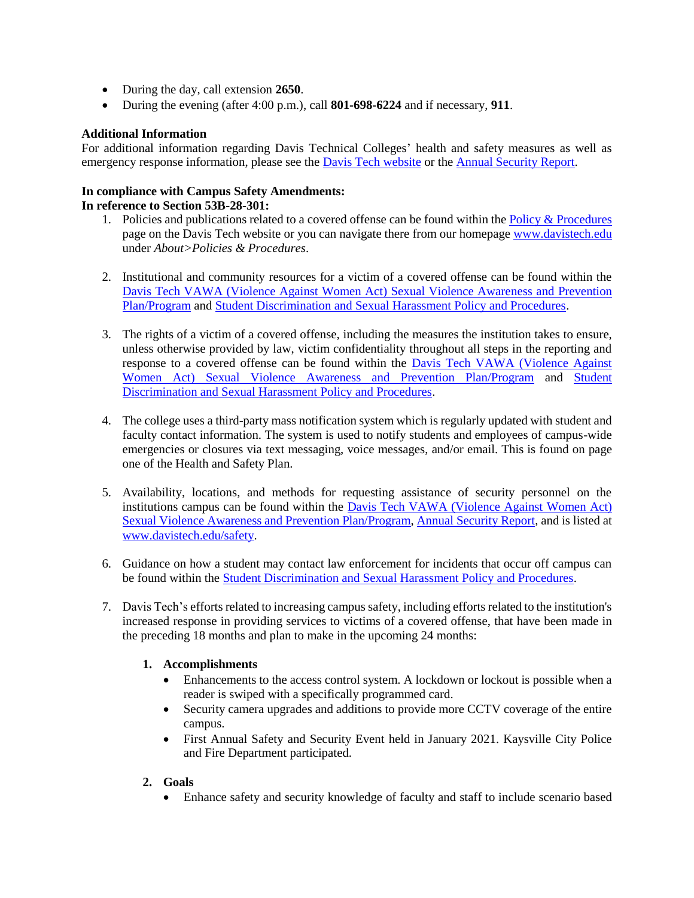- During the day, call extension **2650**.
- During the evening (after 4:00 p.m.), call **801-698-6224** and if necessary, **911**.

### **Additional Information**

For additional information regarding Davis Technical Colleges' health and safety measures as well as emergency response information, please see the **Davis Tech website** or the **Annual Security Report**.

#### **In compliance with Campus Safety Amendments: In reference to Section 53B-28-301:**

- 1. Policies and publications related to a covered offense can be found within the Policy  $&$  Procedures page on the Davis Tech website or you can navigate there from our homepage [www.davistech.edu](http://www.davistech.edu/) under *About>Policies & Procedures*.
- 2. Institutional and community resources for a victim of a covered offense can be found within the Davis Tech VAWA (Violence Against Women Act) Sexual Violence Awareness and Prevention Plan/Program and [Student Discrimination and Sexual Harassment Policy and Procedures.](file:///C:/Users/burkecc/Desktop/Student%20Title%20IX%20Policy%20and%20Procedures.pdf)
- 3. The rights of a victim of a covered offense, including the measures the institution takes to ensure, unless otherwise provided by law, victim confidentiality throughout all steps in the reporting and response to a covered offense can be found within the Davis Tech VAWA (Violence Against Women Act) Sexual Violence Awareness and Prevention Plan/Program and [Student](file:///C:/Users/burkecc/Desktop/Student%20Title%20IX%20Policy%20and%20Procedures.pdf)  [Discrimination and Sexual Harassment Policy and Procedures.](file:///C:/Users/burkecc/Desktop/Student%20Title%20IX%20Policy%20and%20Procedures.pdf)
- 4. The college uses a third-party mass notification system which is regularly updated with student and faculty contact information. The system is used to notify students and employees of campus-wide emergencies or closures via text messaging, voice messages, and/or email. This is found on page one of the Health and Safety Plan.
- 5. Availability, locations, and methods for requesting assistance of security personnel on the institutions campus can be found within the Davis Tech VAWA (Violence Against Women Act) Sexual Violence Awareness and Prevention Plan/Program, [Annual Security Report,](https://www.davistech.edu/public/docs/SecurityReport2019.pdf) and is listed at [www.davistech.edu/safety.](http://www.davistech.edu/safety)
- 6. Guidance on how a student may contact law enforcement for incidents that occur off campus can be found within the [Student Discrimination and Sexual Harassment Policy and Procedures.](file:///C:/Users/burkecc/Desktop/Student%20Title%20IX%20Policy%20and%20Procedures.pdf)
- 7. Davis Tech's efforts related to increasing campus safety, including efforts related to the institution's increased response in providing services to victims of a covered offense, that have been made in the preceding 18 months and plan to make in the upcoming 24 months:

# **1. Accomplishments**

- Enhancements to the access control system. A lockdown or lockout is possible when a reader is swiped with a specifically programmed card.
- Security camera upgrades and additions to provide more CCTV coverage of the entire campus.
- First Annual Safety and Security Event held in January 2021. Kaysville City Police and Fire Department participated.

# **2. Goals**

Enhance safety and security knowledge of faculty and staff to include scenario based